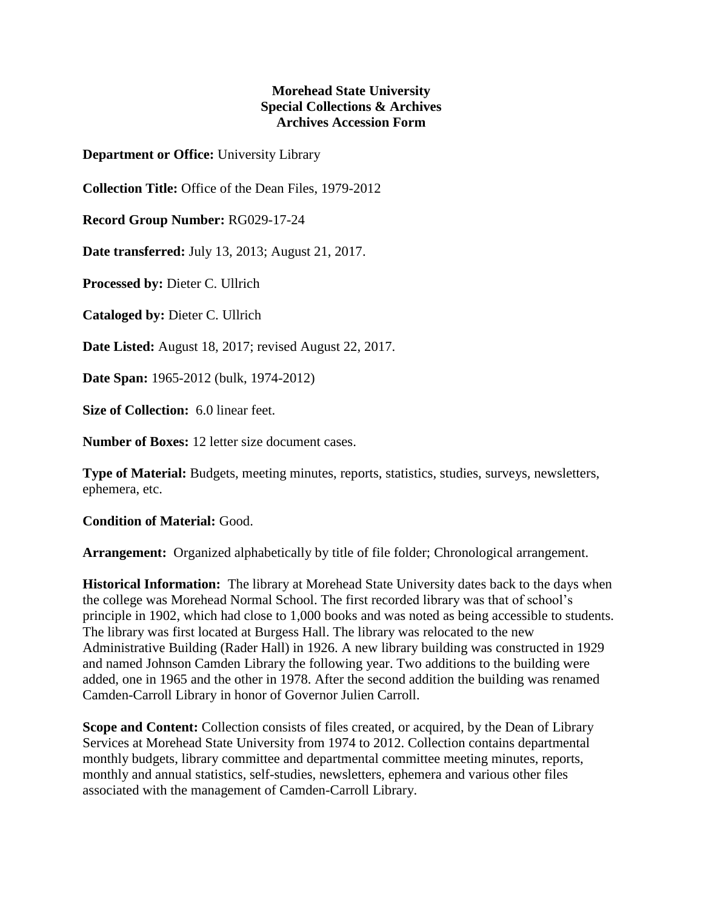## **Morehead State University Special Collections & Archives Archives Accession Form**

**Department or Office:** University Library

**Collection Title:** Office of the Dean Files, 1979-2012

**Record Group Number:** RG029-17-24

**Date transferred:** July 13, 2013; August 21, 2017.

**Processed by:** Dieter C. Ullrich

**Cataloged by:** Dieter C. Ullrich

**Date Listed:** August 18, 2017; revised August 22, 2017.

**Date Span:** 1965-2012 (bulk, 1974-2012)

**Size of Collection:** 6.0 linear feet.

**Number of Boxes:** 12 letter size document cases.

**Type of Material:** Budgets, meeting minutes, reports, statistics, studies, surveys, newsletters, ephemera, etc.

**Condition of Material:** Good.

**Arrangement:** Organized alphabetically by title of file folder; Chronological arrangement.

**Historical Information:** The library at Morehead State University dates back to the days when the college was Morehead Normal School. The first recorded library was that of school's principle in 1902, which had close to 1,000 books and was noted as being accessible to students. The library was first located at Burgess Hall. The library was relocated to the new Administrative Building (Rader Hall) in 1926. A new library building was constructed in 1929 and named Johnson Camden Library the following year. Two additions to the building were added, one in 1965 and the other in 1978. After the second addition the building was renamed Camden-Carroll Library in honor of Governor Julien Carroll.

**Scope and Content:** Collection consists of files created, or acquired, by the Dean of Library Services at Morehead State University from 1974 to 2012. Collection contains departmental monthly budgets, library committee and departmental committee meeting minutes, reports, monthly and annual statistics, self-studies, newsletters, ephemera and various other files associated with the management of Camden-Carroll Library.